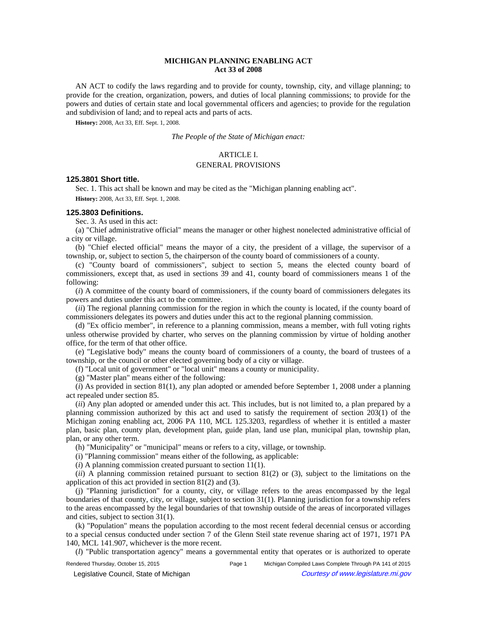# **MICHIGAN PLANNING ENABLING ACT Act 33 of 2008**

AN ACT to codify the laws regarding and to provide for county, township, city, and village planning; to provide for the creation, organization, powers, and duties of local planning commissions; to provide for the powers and duties of certain state and local governmental officers and agencies; to provide for the regulation and subdivision of land; and to repeal acts and parts of acts.

**History:** 2008, Act 33, Eff. Sept. 1, 2008.

*The People of the State of Michigan enact:*

## ARTICLE I.

#### GENERAL PROVISIONS

### **125.3801 Short title.**

Sec. 1. This act shall be known and may be cited as the "Michigan planning enabling act". **History:** 2008, Act 33, Eff. Sept. 1, 2008.

#### **125.3803 Definitions.**

Sec. 3. As used in this act:

(a) "Chief administrative official" means the manager or other highest nonelected administrative official of a city or village.

(b) "Chief elected official" means the mayor of a city, the president of a village, the supervisor of a township, or, subject to section 5, the chairperson of the county board of commissioners of a county.

(c) "County board of commissioners", subject to section 5, means the elected county board of commissioners, except that, as used in sections 39 and 41, county board of commissioners means 1 of the following:

(*i*) A committee of the county board of commissioners, if the county board of commissioners delegates its powers and duties under this act to the committee.

(*ii*) The regional planning commission for the region in which the county is located, if the county board of commissioners delegates its powers and duties under this act to the regional planning commission.

(d) "Ex officio member", in reference to a planning commission, means a member, with full voting rights unless otherwise provided by charter, who serves on the planning commission by virtue of holding another office, for the term of that other office.

(e) "Legislative body" means the county board of commissioners of a county, the board of trustees of a township, or the council or other elected governing body of a city or village.

(f) "Local unit of government" or "local unit" means a county or municipality.

(g) "Master plan" means either of the following:

(*i*) As provided in section 81(1), any plan adopted or amended before September 1, 2008 under a planning act repealed under section 85.

(*ii*) Any plan adopted or amended under this act. This includes, but is not limited to, a plan prepared by a planning commission authorized by this act and used to satisfy the requirement of section 203(1) of the Michigan zoning enabling act, 2006 PA 110, MCL 125.3203, regardless of whether it is entitled a master plan, basic plan, county plan, development plan, guide plan, land use plan, municipal plan, township plan, plan, or any other term.

(h) "Municipality" or "municipal" means or refers to a city, village, or township.

(i) "Planning commission" means either of the following, as applicable:

(*i*) A planning commission created pursuant to section 11(1).

(*ii*) A planning commission retained pursuant to section 81(2) or (3), subject to the limitations on the application of this act provided in section 81(2) and (3).

(j) "Planning jurisdiction" for a county, city, or village refers to the areas encompassed by the legal boundaries of that county, city, or village, subject to section 31(1). Planning jurisdiction for a township refers to the areas encompassed by the legal boundaries of that township outside of the areas of incorporated villages and cities, subject to section 31(1).

(k) "Population" means the population according to the most recent federal decennial census or according to a special census conducted under section 7 of the Glenn Steil state revenue sharing act of 1971, 1971 PA 140, MCL 141.907, whichever is the more recent.

(*l*) "Public transportation agency" means a governmental entity that operates or is authorized to operate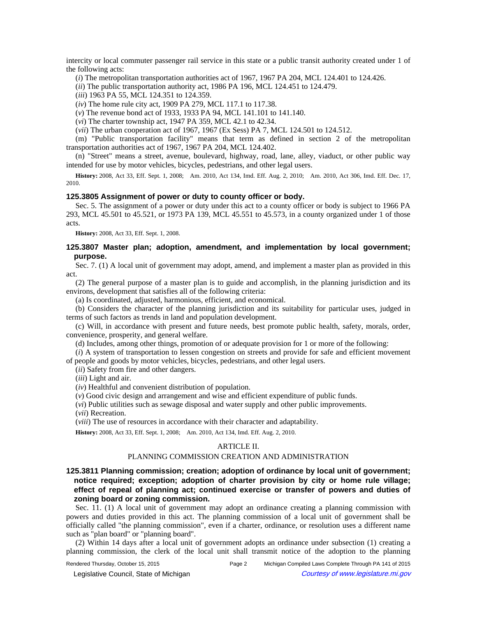intercity or local commuter passenger rail service in this state or a public transit authority created under 1 of the following acts:

(*i*) The metropolitan transportation authorities act of 1967, 1967 PA 204, MCL 124.401 to 124.426.

(*ii*) The public transportation authority act, 1986 PA 196, MCL 124.451 to 124.479.

(*iii*) 1963 PA 55, MCL 124.351 to 124.359.

(*iv*) The home rule city act, 1909 PA 279, MCL 117.1 to 117.38.

(*v*) The revenue bond act of 1933, 1933 PA 94, MCL 141.101 to 141.140.

(*vi*) The charter township act, 1947 PA 359, MCL 42.1 to 42.34.

(*vii*) The urban cooperation act of 1967, 1967 (Ex Sess) PA 7, MCL 124.501 to 124.512.

(m) "Public transportation facility" means that term as defined in section 2 of the metropolitan transportation authorities act of 1967, 1967 PA 204, MCL 124.402.

(n) "Street" means a street, avenue, boulevard, highway, road, lane, alley, viaduct, or other public way intended for use by motor vehicles, bicycles, pedestrians, and other legal users.

History: 2008, Act 33, Eff. Sept. 1, 2008;—Am. 2010, Act 134, Imd. Eff. Aug. 2, 2010;—Am. 2010, Act 306, Imd. Eff. Dec. 17, 2010.

### **125.3805 Assignment of power or duty to county officer or body.**

Sec. 5. The assignment of a power or duty under this act to a county officer or body is subject to 1966 PA 293, MCL 45.501 to 45.521, or 1973 PA 139, MCL 45.551 to 45.573, in a county organized under 1 of those acts.

**History:** 2008, Act 33, Eff. Sept. 1, 2008.

### **125.3807 Master plan; adoption, amendment, and implementation by local government; purpose.**

Sec. 7. (1) A local unit of government may adopt, amend, and implement a master plan as provided in this act.

(2) The general purpose of a master plan is to guide and accomplish, in the planning jurisdiction and its environs, development that satisfies all of the following criteria:

(a) Is coordinated, adjusted, harmonious, efficient, and economical.

(b) Considers the character of the planning jurisdiction and its suitability for particular uses, judged in terms of such factors as trends in land and population development.

(c) Will, in accordance with present and future needs, best promote public health, safety, morals, order, convenience, prosperity, and general welfare.

(d) Includes, among other things, promotion of or adequate provision for 1 or more of the following:

(*i*) A system of transportation to lessen congestion on streets and provide for safe and efficient movement of people and goods by motor vehicles, bicycles, pedestrians, and other legal users.

(*ii*) Safety from fire and other dangers.

(*iii*) Light and air.

(*iv*) Healthful and convenient distribution of population.

(*v*) Good civic design and arrangement and wise and efficient expenditure of public funds.

(*vi*) Public utilities such as sewage disposal and water supply and other public improvements.

(*vii*) Recreation.

(*viii*) The use of resources in accordance with their character and adaptability.

History: 2008, Act 33, Eff. Sept. 1, 2008;- Am. 2010, Act 134, Imd. Eff. Aug. 2, 2010.

# ARTICLE II.

## PLANNING COMMISSION CREATION AND ADMINISTRATION

**125.3811 Planning commission; creation; adoption of ordinance by local unit of government; notice required; exception; adoption of charter provision by city or home rule village; effect of repeal of planning act; continued exercise or transfer of powers and duties of zoning board or zoning commission.**

Sec. 11. (1) A local unit of government may adopt an ordinance creating a planning commission with powers and duties provided in this act. The planning commission of a local unit of government shall be officially called "the planning commission", even if a charter, ordinance, or resolution uses a different name such as "plan board" or "planning board".

(2) Within 14 days after a local unit of government adopts an ordinance under subsection (1) creating a planning commission, the clerk of the local unit shall transmit notice of the adoption to the planning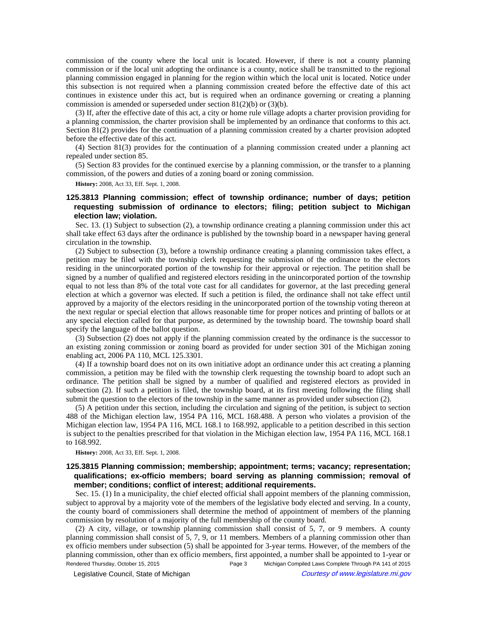commission of the county where the local unit is located. However, if there is not a county planning commission or if the local unit adopting the ordinance is a county, notice shall be transmitted to the regional planning commission engaged in planning for the region within which the local unit is located. Notice under this subsection is not required when a planning commission created before the effective date of this act continues in existence under this act, but is required when an ordinance governing or creating a planning commission is amended or superseded under section 81(2)(b) or (3)(b).

(3) If, after the effective date of this act, a city or home rule village adopts a charter provision providing for a planning commission, the charter provision shall be implemented by an ordinance that conforms to this act. Section 81(2) provides for the continuation of a planning commission created by a charter provision adopted before the effective date of this act.

(4) Section 81(3) provides for the continuation of a planning commission created under a planning act repealed under section 85.

(5) Section 83 provides for the continued exercise by a planning commission, or the transfer to a planning commission, of the powers and duties of a zoning board or zoning commission.

**History:** 2008, Act 33, Eff. Sept. 1, 2008.

# **125.3813 Planning commission; effect of township ordinance; number of days; petition requesting submission of ordinance to electors; filing; petition subject to Michigan election law; violation.**

Sec. 13. (1) Subject to subsection (2), a township ordinance creating a planning commission under this act shall take effect 63 days after the ordinance is published by the township board in a newspaper having general circulation in the township.

(2) Subject to subsection (3), before a township ordinance creating a planning commission takes effect, a petition may be filed with the township clerk requesting the submission of the ordinance to the electors residing in the unincorporated portion of the township for their approval or rejection. The petition shall be signed by a number of qualified and registered electors residing in the unincorporated portion of the township equal to not less than 8% of the total vote cast for all candidates for governor, at the last preceding general election at which a governor was elected. If such a petition is filed, the ordinance shall not take effect until approved by a majority of the electors residing in the unincorporated portion of the township voting thereon at the next regular or special election that allows reasonable time for proper notices and printing of ballots or at any special election called for that purpose, as determined by the township board. The township board shall specify the language of the ballot question.

(3) Subsection (2) does not apply if the planning commission created by the ordinance is the successor to an existing zoning commission or zoning board as provided for under section 301 of the Michigan zoning enabling act, 2006 PA 110, MCL 125.3301.

(4) If a township board does not on its own initiative adopt an ordinance under this act creating a planning commission, a petition may be filed with the township clerk requesting the township board to adopt such an ordinance. The petition shall be signed by a number of qualified and registered electors as provided in subsection (2). If such a petition is filed, the township board, at its first meeting following the filing shall submit the question to the electors of the township in the same manner as provided under subsection (2).

(5) A petition under this section, including the circulation and signing of the petition, is subject to section 488 of the Michigan election law, 1954 PA 116, MCL 168.488. A person who violates a provision of the Michigan election law, 1954 PA 116, MCL 168.1 to 168.992, applicable to a petition described in this section is subject to the penalties prescribed for that violation in the Michigan election law, 1954 PA 116, MCL 168.1 to 168.992.

**History:** 2008, Act 33, Eff. Sept. 1, 2008.

# **125.3815 Planning commission; membership; appointment; terms; vacancy; representation; qualifications; ex-officio members; board serving as planning commission; removal of member; conditions; conflict of interest; additional requirements.**

Sec. 15. (1) In a municipality, the chief elected official shall appoint members of the planning commission, subject to approval by a majority vote of the members of the legislative body elected and serving. In a county, the county board of commissioners shall determine the method of appointment of members of the planning commission by resolution of a majority of the full membership of the county board.

(2) A city, village, or township planning commission shall consist of 5, 7, or 9 members. A county planning commission shall consist of 5, 7, 9, or 11 members. Members of a planning commission other than ex officio members under subsection (5) shall be appointed for 3-year terms. However, of the members of the planning commission, other than ex officio members, first appointed, a number shall be appointed to 1-year or Rendered Thursday, October 15, 2015 Page 3 Michigan Compiled Laws Complete Through PA 141 of 2015

Legislative Council, State of Michigan Courtesy of www.legislature.mi.gov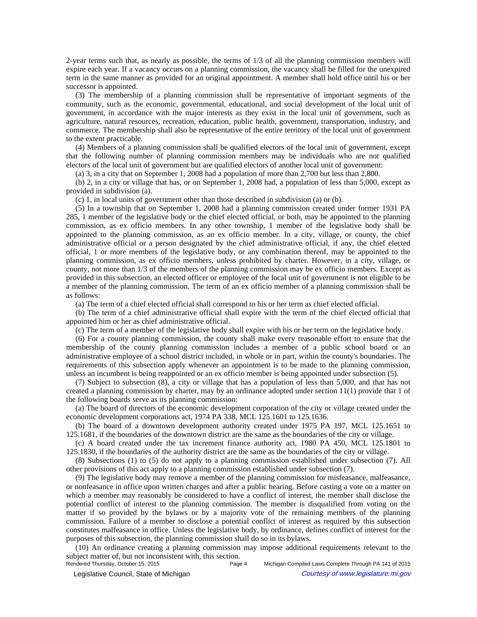2-year terms such that, as nearly as possible, the terms of 1/3 of all the planning commission members will expire each year. If a vacancy occurs on a planning commission, the vacancy shall be filled for the unexpired term in the same manner as provided for an original appointment. A member shall hold office until his or her successor is appointed.

(3) The membership of a planning commission shall be representative of important segments of the community, such as the economic, governmental, educational, and social development of the local unit of government, in accordance with the major interests as they exist in the local unit of government, such as agriculture, natural resources, recreation, education, public health, government, transportation, industry, and commerce. The membership shall also be representative of the entire territory of the local unit of government to the extent practicable.

(4) Members of a planning commission shall be qualified electors of the local unit of government, except that the following number of planning commission members may be individuals who are not qualified electors of the local unit of government but are qualified electors of another local unit of government:

(a) 3, in a city that on September 1, 2008 had a population of more than 2,700 but less than 2,800.

(b) 2, in a city or village that has, or on September 1, 2008 had, a population of less than 5,000, except as provided in subdivision (a).

(c) 1, in local units of government other than those described in subdivision (a) or (b).

(5) In a township that on September 1, 2008 had a planning commission created under former 1931 PA 285, 1 member of the legislative body or the chief elected official, or both, may be appointed to the planning commission, as ex officio members. In any other township, 1 member of the legislative body shall be appointed to the planning commission, as an ex officio member. In a city, village, or county, the chief administrative official or a person designated by the chief administrative official, if any, the chief elected official, 1 or more members of the legislative body, or any combination thereof, may be appointed to the planning commission, as ex officio members, unless prohibited by charter. However, in a city, village, or county, not more than 1/3 of the members of the planning commission may be ex officio members. Except as provided in this subsection, an elected officer or employee of the local unit of government is not eligible to be a member of the planning commission. The term of an ex officio member of a planning commission shall be as follows:

(a) The term of a chief elected official shall correspond to his or her term as chief elected official.

(b) The term of a chief administrative official shall expire with the term of the chief elected official that appointed him or her as chief administrative official.

(c) The term of a member of the legislative body shall expire with his or her term on the legislative body.

(6) For a county planning commission, the county shall make every reasonable effort to ensure that the membership of the county planning commission includes a member of a public school board or an administrative employee of a school district included, in whole or in part, within the county's boundaries. The requirements of this subsection apply whenever an appointment is to be made to the planning commission, unless an incumbent is being reappointed or an ex officio member is being appointed under subsection (5).

(7) Subject to subsection (8), a city or village that has a population of less than 5,000, and that has not created a planning commission by charter, may by an ordinance adopted under section 11(1) provide that 1 of the following boards serve as its planning commission:

(a) The board of directors of the economic development corporation of the city or village created under the economic development corporations act, 1974 PA 338, MCL 125.1601 to 125.1636.

(b) The board of a downtown development authority created under 1975 PA 197, MCL 125.1651 to 125.1681, if the boundaries of the downtown district are the same as the boundaries of the city or village.

(c) A board created under the tax increment finance authority act, 1980 PA 450, MCL 125.1801 to 125.1830, if the boundaries of the authority district are the same as the boundaries of the city or village.

(8) Subsections (1) to (5) do not apply to a planning commission established under subsection (7). All other provisions of this act apply to a planning commission established under subsection (7).

(9) The legislative body may remove a member of the planning commission for misfeasance, malfeasance, or nonfeasance in office upon written charges and after a public hearing. Before casting a vote on a matter on which a member may reasonably be considered to have a conflict of interest, the member shall disclose the potential conflict of interest to the planning commission. The member is disqualified from voting on the matter if so provided by the bylaws or by a majority vote of the remaining members of the planning commission. Failure of a member to disclose a potential conflict of interest as required by this subsection constitutes malfeasance in office. Unless the legislative body, by ordinance, defines conflict of interest for the purposes of this subsection, the planning commission shall do so in its bylaws.

(10) An ordinance creating a planning commission may impose additional requirements relevant to the subject matter of, but not inconsistent with, this section.<br>Rendered Thursday, October 15, 2015 Page 4

© Legislative Council, State of Michigan Council Courtesy of www.legislature.mi.gov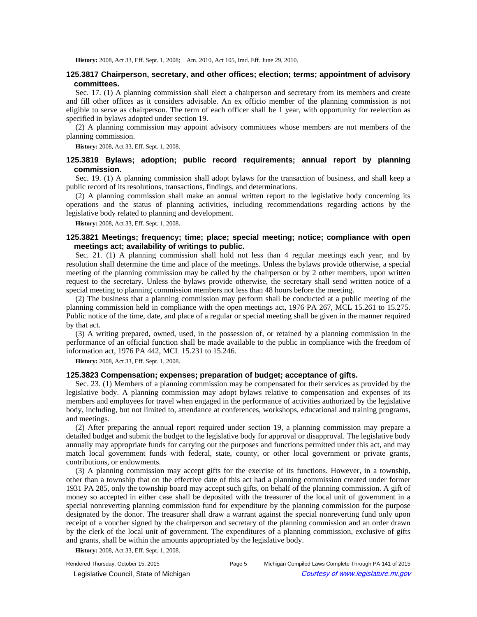History: 2008, Act 33, Eff. Sept. 1, 2008;-Am. 2010, Act 105, Imd. Eff. June 29, 2010.

# **125.3817 Chairperson, secretary, and other offices; election; terms; appointment of advisory committees.**

Sec. 17. (1) A planning commission shall elect a chairperson and secretary from its members and create and fill other offices as it considers advisable. An ex officio member of the planning commission is not eligible to serve as chairperson. The term of each officer shall be 1 year, with opportunity for reelection as specified in bylaws adopted under section 19.

(2) A planning commission may appoint advisory committees whose members are not members of the planning commission.

**History:** 2008, Act 33, Eff. Sept. 1, 2008.

# **125.3819 Bylaws; adoption; public record requirements; annual report by planning commission.**

Sec. 19. (1) A planning commission shall adopt bylaws for the transaction of business, and shall keep a public record of its resolutions, transactions, findings, and determinations.

(2) A planning commission shall make an annual written report to the legislative body concerning its operations and the status of planning activities, including recommendations regarding actions by the legislative body related to planning and development.

**History:** 2008, Act 33, Eff. Sept. 1, 2008.

# **125.3821 Meetings; frequency; time; place; special meeting; notice; compliance with open meetings act; availability of writings to public.**

Sec. 21. (1) A planning commission shall hold not less than 4 regular meetings each year, and by resolution shall determine the time and place of the meetings. Unless the bylaws provide otherwise, a special meeting of the planning commission may be called by the chairperson or by 2 other members, upon written request to the secretary. Unless the bylaws provide otherwise, the secretary shall send written notice of a special meeting to planning commission members not less than 48 hours before the meeting.

(2) The business that a planning commission may perform shall be conducted at a public meeting of the planning commission held in compliance with the open meetings act, 1976 PA 267, MCL 15.261 to 15.275. Public notice of the time, date, and place of a regular or special meeting shall be given in the manner required by that act.

(3) A writing prepared, owned, used, in the possession of, or retained by a planning commission in the performance of an official function shall be made available to the public in compliance with the freedom of information act, 1976 PA 442, MCL 15.231 to 15.246.

**History:** 2008, Act 33, Eff. Sept. 1, 2008.

## **125.3823 Compensation; expenses; preparation of budget; acceptance of gifts.**

Sec. 23. (1) Members of a planning commission may be compensated for their services as provided by the legislative body. A planning commission may adopt bylaws relative to compensation and expenses of its members and employees for travel when engaged in the performance of activities authorized by the legislative body, including, but not limited to, attendance at conferences, workshops, educational and training programs, and meetings.

(2) After preparing the annual report required under section 19, a planning commission may prepare a detailed budget and submit the budget to the legislative body for approval or disapproval. The legislative body annually may appropriate funds for carrying out the purposes and functions permitted under this act, and may match local government funds with federal, state, county, or other local government or private grants, contributions, or endowments.

(3) A planning commission may accept gifts for the exercise of its functions. However, in a township, other than a township that on the effective date of this act had a planning commission created under former 1931 PA 285, only the township board may accept such gifts, on behalf of the planning commission. A gift of money so accepted in either case shall be deposited with the treasurer of the local unit of government in a special nonreverting planning commission fund for expenditure by the planning commission for the purpose designated by the donor. The treasurer shall draw a warrant against the special nonreverting fund only upon receipt of a voucher signed by the chairperson and secretary of the planning commission and an order drawn by the clerk of the local unit of government. The expenditures of a planning commission, exclusive of gifts and grants, shall be within the amounts appropriated by the legislative body.

**History:** 2008, Act 33, Eff. Sept. 1, 2008.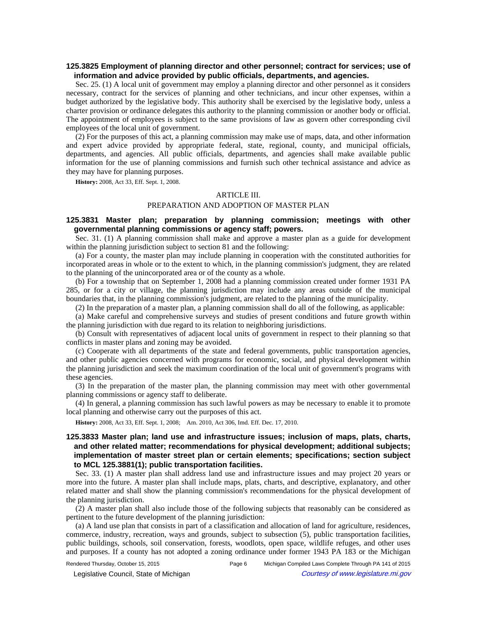# **125.3825 Employment of planning director and other personnel; contract for services; use of information and advice provided by public officials, departments, and agencies.**

Sec. 25. (1) A local unit of government may employ a planning director and other personnel as it considers necessary, contract for the services of planning and other technicians, and incur other expenses, within a budget authorized by the legislative body. This authority shall be exercised by the legislative body, unless a charter provision or ordinance delegates this authority to the planning commission or another body or official. The appointment of employees is subject to the same provisions of law as govern other corresponding civil employees of the local unit of government.

(2) For the purposes of this act, a planning commission may make use of maps, data, and other information and expert advice provided by appropriate federal, state, regional, county, and municipal officials, departments, and agencies. All public officials, departments, and agencies shall make available public information for the use of planning commissions and furnish such other technical assistance and advice as they may have for planning purposes.

**History:** 2008, Act 33, Eff. Sept. 1, 2008.

#### ARTICLE III.

#### PREPARATION AND ADOPTION OF MASTER PLAN

# **125.3831 Master plan; preparation by planning commission; meetings with other governmental planning commissions or agency staff; powers.**

Sec. 31. (1) A planning commission shall make and approve a master plan as a guide for development within the planning jurisdiction subject to section 81 and the following:

(a) For a county, the master plan may include planning in cooperation with the constituted authorities for incorporated areas in whole or to the extent to which, in the planning commission's judgment, they are related to the planning of the unincorporated area or of the county as a whole.

(b) For a township that on September 1, 2008 had a planning commission created under former 1931 PA 285, or for a city or village, the planning jurisdiction may include any areas outside of the municipal boundaries that, in the planning commission's judgment, are related to the planning of the municipality.

(2) In the preparation of a master plan, a planning commission shall do all of the following, as applicable:

(a) Make careful and comprehensive surveys and studies of present conditions and future growth within the planning jurisdiction with due regard to its relation to neighboring jurisdictions.

(b) Consult with representatives of adjacent local units of government in respect to their planning so that conflicts in master plans and zoning may be avoided.

(c) Cooperate with all departments of the state and federal governments, public transportation agencies, and other public agencies concerned with programs for economic, social, and physical development within the planning jurisdiction and seek the maximum coordination of the local unit of government's programs with these agencies.

(3) In the preparation of the master plan, the planning commission may meet with other governmental planning commissions or agency staff to deliberate.

(4) In general, a planning commission has such lawful powers as may be necessary to enable it to promote local planning and otherwise carry out the purposes of this act.

History: 2008, Act 33, Eff. Sept. 1, 2008;-Am. 2010, Act 306, Imd. Eff. Dec. 17, 2010.

# **125.3833 Master plan; land use and infrastructure issues; inclusion of maps, plats, charts, and other related matter; recommendations for physical development; additional subjects; implementation of master street plan or certain elements; specifications; section subject to MCL 125.3881(1); public transportation facilities.**

Sec. 33. (1) A master plan shall address land use and infrastructure issues and may project 20 years or more into the future. A master plan shall include maps, plats, charts, and descriptive, explanatory, and other related matter and shall show the planning commission's recommendations for the physical development of the planning jurisdiction.

(2) A master plan shall also include those of the following subjects that reasonably can be considered as pertinent to the future development of the planning jurisdiction:

(a) A land use plan that consists in part of a classification and allocation of land for agriculture, residences, commerce, industry, recreation, ways and grounds, subject to subsection (5), public transportation facilities, public buildings, schools, soil conservation, forests, woodlots, open space, wildlife refuges, and other uses and purposes. If a county has not adopted a zoning ordinance under former 1943 PA 183 or the Michigan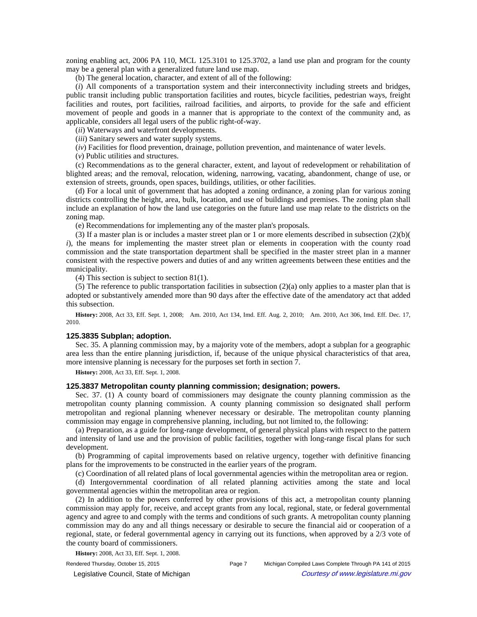zoning enabling act, 2006 PA 110, MCL 125.3101 to 125.3702, a land use plan and program for the county may be a general plan with a generalized future land use map.

(b) The general location, character, and extent of all of the following:

(*i*) All components of a transportation system and their interconnectivity including streets and bridges, public transit including public transportation facilities and routes, bicycle facilities, pedestrian ways, freight facilities and routes, port facilities, railroad facilities, and airports, to provide for the safe and efficient movement of people and goods in a manner that is appropriate to the context of the community and, as applicable, considers all legal users of the public right-of-way.

(*ii*) Waterways and waterfront developments.

(*iii*) Sanitary sewers and water supply systems.

(*iv*) Facilities for flood prevention, drainage, pollution prevention, and maintenance of water levels.

(*v*) Public utilities and structures.

(c) Recommendations as to the general character, extent, and layout of redevelopment or rehabilitation of blighted areas; and the removal, relocation, widening, narrowing, vacating, abandonment, change of use, or extension of streets, grounds, open spaces, buildings, utilities, or other facilities.

(d) For a local unit of government that has adopted a zoning ordinance, a zoning plan for various zoning districts controlling the height, area, bulk, location, and use of buildings and premises. The zoning plan shall include an explanation of how the land use categories on the future land use map relate to the districts on the zoning map.

(e) Recommendations for implementing any of the master plan's proposals.

(3) If a master plan is or includes a master street plan or 1 or more elements described in subsection (2)(b)( *i*), the means for implementing the master street plan or elements in cooperation with the county road commission and the state transportation department shall be specified in the master street plan in a manner consistent with the respective powers and duties of and any written agreements between these entities and the municipality.

(4) This section is subject to section 81(1).

(5) The reference to public transportation facilities in subsection  $(2)(a)$  only applies to a master plan that is adopted or substantively amended more than 90 days after the effective date of the amendatory act that added this subsection.

History: 2008, Act 33, Eff. Sept. 1, 2008;—Am. 2010, Act 134, Imd. Eff. Aug. 2, 2010;—Am. 2010, Act 306, Imd. Eff. Dec. 17, 2010.

## **125.3835 Subplan; adoption.**

Sec. 35. A planning commission may, by a majority vote of the members, adopt a subplan for a geographic area less than the entire planning jurisdiction, if, because of the unique physical characteristics of that area, more intensive planning is necessary for the purposes set forth in section 7.

**History:** 2008, Act 33, Eff. Sept. 1, 2008.

#### **125.3837 Metropolitan county planning commission; designation; powers.**

Sec. 37. (1) A county board of commissioners may designate the county planning commission as the metropolitan county planning commission. A county planning commission so designated shall perform metropolitan and regional planning whenever necessary or desirable. The metropolitan county planning commission may engage in comprehensive planning, including, but not limited to, the following:

(a) Preparation, as a guide for long-range development, of general physical plans with respect to the pattern and intensity of land use and the provision of public facilities, together with long-range fiscal plans for such development.

(b) Programming of capital improvements based on relative urgency, together with definitive financing plans for the improvements to be constructed in the earlier years of the program.

(c) Coordination of all related plans of local governmental agencies within the metropolitan area or region.

(d) Intergovernmental coordination of all related planning activities among the state and local governmental agencies within the metropolitan area or region.

(2) In addition to the powers conferred by other provisions of this act, a metropolitan county planning commission may apply for, receive, and accept grants from any local, regional, state, or federal governmental agency and agree to and comply with the terms and conditions of such grants. A metropolitan county planning commission may do any and all things necessary or desirable to secure the financial aid or cooperation of a regional, state, or federal governmental agency in carrying out its functions, when approved by a 2/3 vote of the county board of commissioners.

**History:** 2008, Act 33, Eff. Sept. 1, 2008.

© Legislative Council, State of Michigan Council Courtesy of www.legislature.mi.gov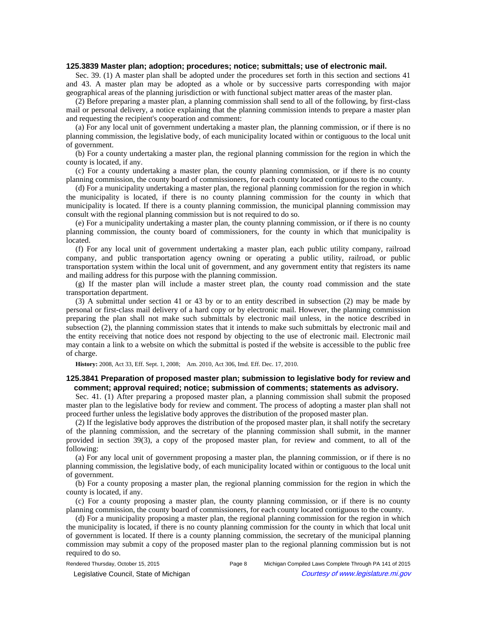#### **125.3839 Master plan; adoption; procedures; notice; submittals; use of electronic mail.**

Sec. 39. (1) A master plan shall be adopted under the procedures set forth in this section and sections 41 and 43. A master plan may be adopted as a whole or by successive parts corresponding with major geographical areas of the planning jurisdiction or with functional subject matter areas of the master plan.

(2) Before preparing a master plan, a planning commission shall send to all of the following, by first-class mail or personal delivery, a notice explaining that the planning commission intends to prepare a master plan and requesting the recipient's cooperation and comment:

(a) For any local unit of government undertaking a master plan, the planning commission, or if there is no planning commission, the legislative body, of each municipality located within or contiguous to the local unit of government.

(b) For a county undertaking a master plan, the regional planning commission for the region in which the county is located, if any.

(c) For a county undertaking a master plan, the county planning commission, or if there is no county planning commission, the county board of commissioners, for each county located contiguous to the county.

(d) For a municipality undertaking a master plan, the regional planning commission for the region in which the municipality is located, if there is no county planning commission for the county in which that municipality is located. If there is a county planning commission, the municipal planning commission may consult with the regional planning commission but is not required to do so.

(e) For a municipality undertaking a master plan, the county planning commission, or if there is no county planning commission, the county board of commissioners, for the county in which that municipality is located.

(f) For any local unit of government undertaking a master plan, each public utility company, railroad company, and public transportation agency owning or operating a public utility, railroad, or public transportation system within the local unit of government, and any government entity that registers its name and mailing address for this purpose with the planning commission.

(g) If the master plan will include a master street plan, the county road commission and the state transportation department.

(3) A submittal under section 41 or 43 by or to an entity described in subsection (2) may be made by personal or first-class mail delivery of a hard copy or by electronic mail. However, the planning commission preparing the plan shall not make such submittals by electronic mail unless, in the notice described in subsection (2), the planning commission states that it intends to make such submittals by electronic mail and the entity receiving that notice does not respond by objecting to the use of electronic mail. Electronic mail may contain a link to a website on which the submittal is posted if the website is accessible to the public free of charge.

**History:** 2008, Act 33, Eff. Sept. 1, 2008;—Am. 2010, Act 306, Imd. Eff. Dec. 17, 2010.

## **125.3841 Preparation of proposed master plan; submission to legislative body for review and comment; approval required; notice; submission of comments; statements as advisory.**

Sec. 41. (1) After preparing a proposed master plan, a planning commission shall submit the proposed master plan to the legislative body for review and comment. The process of adopting a master plan shall not proceed further unless the legislative body approves the distribution of the proposed master plan.

(2) If the legislative body approves the distribution of the proposed master plan, it shall notify the secretary of the planning commission, and the secretary of the planning commission shall submit, in the manner provided in section 39(3), a copy of the proposed master plan, for review and comment, to all of the following:

(a) For any local unit of government proposing a master plan, the planning commission, or if there is no planning commission, the legislative body, of each municipality located within or contiguous to the local unit of government.

(b) For a county proposing a master plan, the regional planning commission for the region in which the county is located, if any.

(c) For a county proposing a master plan, the county planning commission, or if there is no county planning commission, the county board of commissioners, for each county located contiguous to the county.

(d) For a municipality proposing a master plan, the regional planning commission for the region in which the municipality is located, if there is no county planning commission for the county in which that local unit of government is located. If there is a county planning commission, the secretary of the municipal planning commission may submit a copy of the proposed master plan to the regional planning commission but is not required to do so.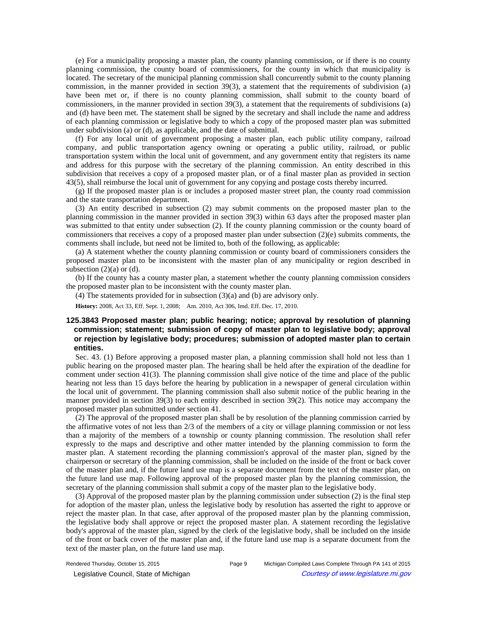(e) For a municipality proposing a master plan, the county planning commission, or if there is no county planning commission, the county board of commissioners, for the county in which that municipality is located. The secretary of the municipal planning commission shall concurrently submit to the county planning commission, in the manner provided in section 39(3), a statement that the requirements of subdivision (a) have been met or, if there is no county planning commission, shall submit to the county board of commissioners, in the manner provided in section 39(3), a statement that the requirements of subdivisions (a) and (d) have been met. The statement shall be signed by the secretary and shall include the name and address of each planning commission or legislative body to which a copy of the proposed master plan was submitted under subdivision (a) or (d), as applicable, and the date of submittal.

(f) For any local unit of government proposing a master plan, each public utility company, railroad company, and public transportation agency owning or operating a public utility, railroad, or public transportation system within the local unit of government, and any government entity that registers its name and address for this purpose with the secretary of the planning commission. An entity described in this subdivision that receives a copy of a proposed master plan, or of a final master plan as provided in section 43(5), shall reimburse the local unit of government for any copying and postage costs thereby incurred.

(g) If the proposed master plan is or includes a proposed master street plan, the county road commission and the state transportation department.

(3) An entity described in subsection (2) may submit comments on the proposed master plan to the planning commission in the manner provided in section 39(3) within 63 days after the proposed master plan was submitted to that entity under subsection (2). If the county planning commission or the county board of commissioners that receives a copy of a proposed master plan under subsection (2)(e) submits comments, the comments shall include, but need not be limited to, both of the following, as applicable:

(a) A statement whether the county planning commission or county board of commissioners considers the proposed master plan to be inconsistent with the master plan of any municipality or region described in subsection  $(2)(a)$  or  $(d)$ .

(b) If the county has a county master plan, a statement whether the county planning commission considers the proposed master plan to be inconsistent with the county master plan.

(4) The statements provided for in subsection (3)(a) and (b) are advisory only.

**History:** 2008, Act 33, Eff. Sept. 1, 2008;—Am. 2010, Act 306, Imd. Eff. Dec. 17, 2010.

# **125.3843 Proposed master plan; public hearing; notice; approval by resolution of planning commission; statement; submission of copy of master plan to legislative body; approval or rejection by legislative body; procedures; submission of adopted master plan to certain entities.**

Sec. 43. (1) Before approving a proposed master plan, a planning commission shall hold not less than 1 public hearing on the proposed master plan. The hearing shall be held after the expiration of the deadline for comment under section 41(3). The planning commission shall give notice of the time and place of the public hearing not less than 15 days before the hearing by publication in a newspaper of general circulation within the local unit of government. The planning commission shall also submit notice of the public hearing in the manner provided in section 39(3) to each entity described in section 39(2). This notice may accompany the proposed master plan submitted under section 41.

(2) The approval of the proposed master plan shall be by resolution of the planning commission carried by the affirmative votes of not less than 2/3 of the members of a city or village planning commission or not less than a majority of the members of a township or county planning commission. The resolution shall refer expressly to the maps and descriptive and other matter intended by the planning commission to form the master plan. A statement recording the planning commission's approval of the master plan, signed by the chairperson or secretary of the planning commission, shall be included on the inside of the front or back cover of the master plan and, if the future land use map is a separate document from the text of the master plan, on the future land use map. Following approval of the proposed master plan by the planning commission, the secretary of the planning commission shall submit a copy of the master plan to the legislative body.

(3) Approval of the proposed master plan by the planning commission under subsection (2) is the final step for adoption of the master plan, unless the legislative body by resolution has asserted the right to approve or reject the master plan. In that case, after approval of the proposed master plan by the planning commission, the legislative body shall approve or reject the proposed master plan. A statement recording the legislative body's approval of the master plan, signed by the clerk of the legislative body, shall be included on the inside of the front or back cover of the master plan and, if the future land use map is a separate document from the text of the master plan, on the future land use map.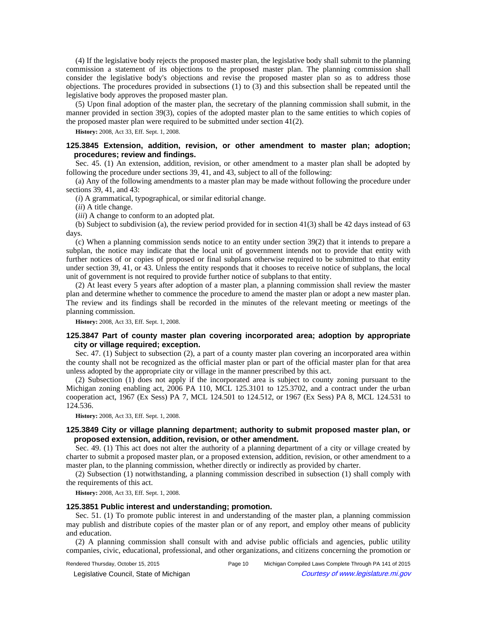(4) If the legislative body rejects the proposed master plan, the legislative body shall submit to the planning commission a statement of its objections to the proposed master plan. The planning commission shall consider the legislative body's objections and revise the proposed master plan so as to address those objections. The procedures provided in subsections (1) to (3) and this subsection shall be repeated until the legislative body approves the proposed master plan.

(5) Upon final adoption of the master plan, the secretary of the planning commission shall submit, in the manner provided in section 39(3), copies of the adopted master plan to the same entities to which copies of the proposed master plan were required to be submitted under section 41(2).

**History:** 2008, Act 33, Eff. Sept. 1, 2008.

# **125.3845 Extension, addition, revision, or other amendment to master plan; adoption; procedures; review and findings.**

Sec. 45. (1) An extension, addition, revision, or other amendment to a master plan shall be adopted by following the procedure under sections 39, 41, and 43, subject to all of the following:

(a) Any of the following amendments to a master plan may be made without following the procedure under sections 39, 41, and 43:

(*i*) A grammatical, typographical, or similar editorial change.

(*ii*) A title change.

(*iii*) A change to conform to an adopted plat.

(b) Subject to subdivision (a), the review period provided for in section 41(3) shall be 42 days instead of 63 days.

(c) When a planning commission sends notice to an entity under section 39(2) that it intends to prepare a subplan, the notice may indicate that the local unit of government intends not to provide that entity with further notices of or copies of proposed or final subplans otherwise required to be submitted to that entity under section 39, 41, or 43. Unless the entity responds that it chooses to receive notice of subplans, the local unit of government is not required to provide further notice of subplans to that entity.

(2) At least every 5 years after adoption of a master plan, a planning commission shall review the master plan and determine whether to commence the procedure to amend the master plan or adopt a new master plan. The review and its findings shall be recorded in the minutes of the relevant meeting or meetings of the planning commission.

**History:** 2008, Act 33, Eff. Sept. 1, 2008.

# **125.3847 Part of county master plan covering incorporated area; adoption by appropriate city or village required; exception.**

Sec. 47. (1) Subject to subsection (2), a part of a county master plan covering an incorporated area within the county shall not be recognized as the official master plan or part of the official master plan for that area unless adopted by the appropriate city or village in the manner prescribed by this act.

(2) Subsection (1) does not apply if the incorporated area is subject to county zoning pursuant to the Michigan zoning enabling act, 2006 PA 110, MCL 125.3101 to 125.3702, and a contract under the urban cooperation act, 1967 (Ex Sess) PA 7, MCL 124.501 to 124.512, or 1967 (Ex Sess) PA 8, MCL 124.531 to 124.536.

**History:** 2008, Act 33, Eff. Sept. 1, 2008.

## **125.3849 City or village planning department; authority to submit proposed master plan, or proposed extension, addition, revision, or other amendment.**

Sec. 49. (1) This act does not alter the authority of a planning department of a city or village created by charter to submit a proposed master plan, or a proposed extension, addition, revision, or other amendment to a master plan, to the planning commission, whether directly or indirectly as provided by charter.

(2) Subsection (1) notwithstanding, a planning commission described in subsection (1) shall comply with the requirements of this act.

**History:** 2008, Act 33, Eff. Sept. 1, 2008.

## **125.3851 Public interest and understanding; promotion.**

Sec. 51. (1) To promote public interest in and understanding of the master plan, a planning commission may publish and distribute copies of the master plan or of any report, and employ other means of publicity and education.

(2) A planning commission shall consult with and advise public officials and agencies, public utility companies, civic, educational, professional, and other organizations, and citizens concerning the promotion or

© Legislative Council, State of Michigan Council Courtesy of www.legislature.mi.gov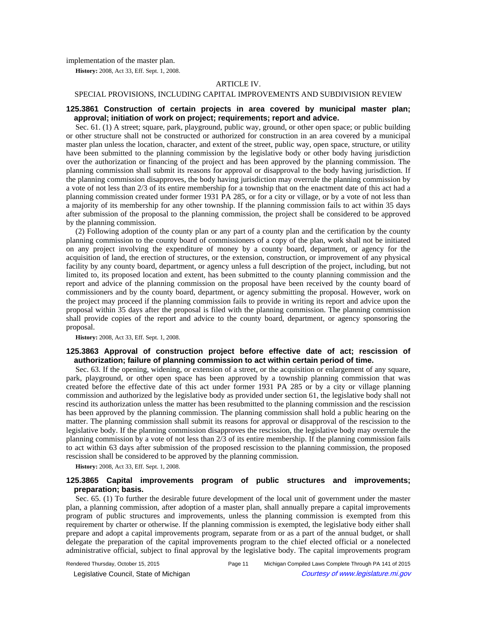implementation of the master plan.

**History:** 2008, Act 33, Eff. Sept. 1, 2008.

#### ARTICLE IV.

# SPECIAL PROVISIONS, INCLUDING CAPITAL IMPROVEMENTS AND SUBDIVISION REVIEW

## **125.3861 Construction of certain projects in area covered by municipal master plan; approval; initiation of work on project; requirements; report and advice.**

Sec. 61. (1) A street; square, park, playground, public way, ground, or other open space; or public building or other structure shall not be constructed or authorized for construction in an area covered by a municipal master plan unless the location, character, and extent of the street, public way, open space, structure, or utility have been submitted to the planning commission by the legislative body or other body having jurisdiction over the authorization or financing of the project and has been approved by the planning commission. The planning commission shall submit its reasons for approval or disapproval to the body having jurisdiction. If the planning commission disapproves, the body having jurisdiction may overrule the planning commission by a vote of not less than 2/3 of its entire membership for a township that on the enactment date of this act had a planning commission created under former 1931 PA 285, or for a city or village, or by a vote of not less than a majority of its membership for any other township. If the planning commission fails to act within 35 days after submission of the proposal to the planning commission, the project shall be considered to be approved by the planning commission.

(2) Following adoption of the county plan or any part of a county plan and the certification by the county planning commission to the county board of commissioners of a copy of the plan, work shall not be initiated on any project involving the expenditure of money by a county board, department, or agency for the acquisition of land, the erection of structures, or the extension, construction, or improvement of any physical facility by any county board, department, or agency unless a full description of the project, including, but not limited to, its proposed location and extent, has been submitted to the county planning commission and the report and advice of the planning commission on the proposal have been received by the county board of commissioners and by the county board, department, or agency submitting the proposal. However, work on the project may proceed if the planning commission fails to provide in writing its report and advice upon the proposal within 35 days after the proposal is filed with the planning commission. The planning commission shall provide copies of the report and advice to the county board, department, or agency sponsoring the proposal.

**History:** 2008, Act 33, Eff. Sept. 1, 2008.

# **125.3863 Approval of construction project before effective date of act; rescission of authorization; failure of planning commission to act within certain period of time.**

Sec. 63. If the opening, widening, or extension of a street, or the acquisition or enlargement of any square, park, playground, or other open space has been approved by a township planning commission that was created before the effective date of this act under former 1931 PA 285 or by a city or village planning commission and authorized by the legislative body as provided under section 61, the legislative body shall not rescind its authorization unless the matter has been resubmitted to the planning commission and the rescission has been approved by the planning commission. The planning commission shall hold a public hearing on the matter. The planning commission shall submit its reasons for approval or disapproval of the rescission to the legislative body. If the planning commission disapproves the rescission, the legislative body may overrule the planning commission by a vote of not less than 2/3 of its entire membership. If the planning commission fails to act within 63 days after submission of the proposed rescission to the planning commission, the proposed rescission shall be considered to be approved by the planning commission.

**History:** 2008, Act 33, Eff. Sept. 1, 2008.

# **125.3865 Capital improvements program of public structures and improvements; preparation; basis.**

Sec. 65. (1) To further the desirable future development of the local unit of government under the master plan, a planning commission, after adoption of a master plan, shall annually prepare a capital improvements program of public structures and improvements, unless the planning commission is exempted from this requirement by charter or otherwise. If the planning commission is exempted, the legislative body either shall prepare and adopt a capital improvements program, separate from or as a part of the annual budget, or shall delegate the preparation of the capital improvements program to the chief elected official or a nonelected administrative official, subject to final approval by the legislative body. The capital improvements program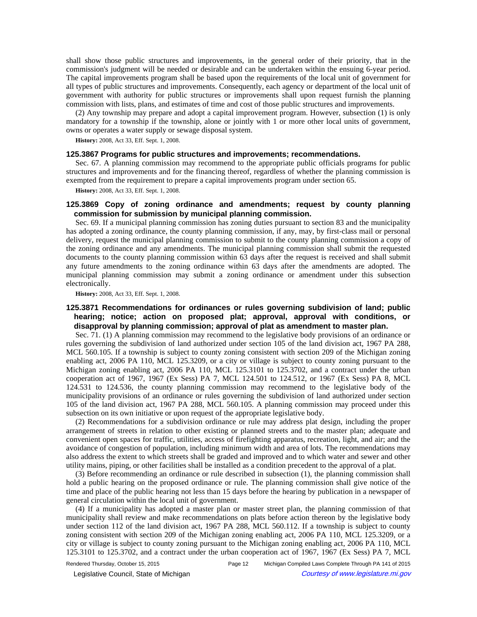shall show those public structures and improvements, in the general order of their priority, that in the commission's judgment will be needed or desirable and can be undertaken within the ensuing 6-year period. The capital improvements program shall be based upon the requirements of the local unit of government for all types of public structures and improvements. Consequently, each agency or department of the local unit of government with authority for public structures or improvements shall upon request furnish the planning commission with lists, plans, and estimates of time and cost of those public structures and improvements.

(2) Any township may prepare and adopt a capital improvement program. However, subsection (1) is only mandatory for a township if the township, alone or jointly with 1 or more other local units of government, owns or operates a water supply or sewage disposal system.

**History:** 2008, Act 33, Eff. Sept. 1, 2008.

### **125.3867 Programs for public structures and improvements; recommendations.**

Sec. 67. A planning commission may recommend to the appropriate public officials programs for public structures and improvements and for the financing thereof, regardless of whether the planning commission is exempted from the requirement to prepare a capital improvements program under section 65.

**History:** 2008, Act 33, Eff. Sept. 1, 2008.

## **125.3869 Copy of zoning ordinance and amendments; request by county planning commission for submission by municipal planning commission.**

Sec. 69. If a municipal planning commission has zoning duties pursuant to section 83 and the municipality has adopted a zoning ordinance, the county planning commission, if any, may, by first-class mail or personal delivery, request the municipal planning commission to submit to the county planning commission a copy of the zoning ordinance and any amendments. The municipal planning commission shall submit the requested documents to the county planning commission within 63 days after the request is received and shall submit any future amendments to the zoning ordinance within 63 days after the amendments are adopted. The municipal planning commission may submit a zoning ordinance or amendment under this subsection electronically.

**History:** 2008, Act 33, Eff. Sept. 1, 2008.

# **125.3871 Recommendations for ordinances or rules governing subdivision of land; public hearing; notice; action on proposed plat; approval, approval with conditions, or disapproval by planning commission; approval of plat as amendment to master plan.**

Sec. 71. (1) A planning commission may recommend to the legislative body provisions of an ordinance or rules governing the subdivision of land authorized under section 105 of the land division act, 1967 PA 288, MCL 560.105. If a township is subject to county zoning consistent with section 209 of the Michigan zoning enabling act, 2006 PA 110, MCL 125.3209, or a city or village is subject to county zoning pursuant to the Michigan zoning enabling act, 2006 PA 110, MCL 125.3101 to 125.3702, and a contract under the urban cooperation act of 1967, 1967 (Ex Sess) PA 7, MCL 124.501 to 124.512, or 1967 (Ex Sess) PA 8, MCL 124.531 to 124.536, the county planning commission may recommend to the legislative body of the municipality provisions of an ordinance or rules governing the subdivision of land authorized under section 105 of the land division act, 1967 PA 288, MCL 560.105. A planning commission may proceed under this subsection on its own initiative or upon request of the appropriate legislative body.

(2) Recommendations for a subdivision ordinance or rule may address plat design, including the proper arrangement of streets in relation to other existing or planned streets and to the master plan; adequate and convenient open spaces for traffic, utilities, access of firefighting apparatus, recreation, light, and air; and the avoidance of congestion of population, including minimum width and area of lots. The recommendations may also address the extent to which streets shall be graded and improved and to which water and sewer and other utility mains, piping, or other facilities shall be installed as a condition precedent to the approval of a plat.

(3) Before recommending an ordinance or rule described in subsection (1), the planning commission shall hold a public hearing on the proposed ordinance or rule. The planning commission shall give notice of the time and place of the public hearing not less than 15 days before the hearing by publication in a newspaper of general circulation within the local unit of government.

(4) If a municipality has adopted a master plan or master street plan, the planning commission of that municipality shall review and make recommendations on plats before action thereon by the legislative body under section 112 of the land division act, 1967 PA 288, MCL 560.112. If a township is subject to county zoning consistent with section 209 of the Michigan zoning enabling act, 2006 PA 110, MCL 125.3209, or a city or village is subject to county zoning pursuant to the Michigan zoning enabling act, 2006 PA 110, MCL 125.3101 to 125.3702, and a contract under the urban cooperation act of 1967, 1967 (Ex Sess) PA 7, MCL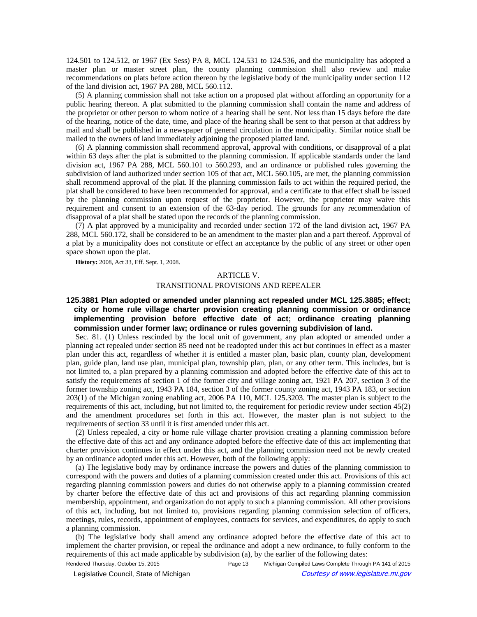124.501 to 124.512, or 1967 (Ex Sess) PA 8, MCL 124.531 to 124.536, and the municipality has adopted a master plan or master street plan, the county planning commission shall also review and make recommendations on plats before action thereon by the legislative body of the municipality under section 112 of the land division act, 1967 PA 288, MCL 560.112.

(5) A planning commission shall not take action on a proposed plat without affording an opportunity for a public hearing thereon. A plat submitted to the planning commission shall contain the name and address of the proprietor or other person to whom notice of a hearing shall be sent. Not less than 15 days before the date of the hearing, notice of the date, time, and place of the hearing shall be sent to that person at that address by mail and shall be published in a newspaper of general circulation in the municipality. Similar notice shall be mailed to the owners of land immediately adjoining the proposed platted land.

(6) A planning commission shall recommend approval, approval with conditions, or disapproval of a plat within 63 days after the plat is submitted to the planning commission. If applicable standards under the land division act, 1967 PA 288, MCL 560.101 to 560.293, and an ordinance or published rules governing the subdivision of land authorized under section 105 of that act, MCL 560.105, are met, the planning commission shall recommend approval of the plat. If the planning commission fails to act within the required period, the plat shall be considered to have been recommended for approval, and a certificate to that effect shall be issued by the planning commission upon request of the proprietor. However, the proprietor may waive this requirement and consent to an extension of the 63-day period. The grounds for any recommendation of disapproval of a plat shall be stated upon the records of the planning commission.

(7) A plat approved by a municipality and recorded under section 172 of the land division act, 1967 PA 288, MCL 560.172, shall be considered to be an amendment to the master plan and a part thereof. Approval of a plat by a municipality does not constitute or effect an acceptance by the public of any street or other open space shown upon the plat.

**History:** 2008, Act 33, Eff. Sept. 1, 2008.

#### ARTICLE V.

#### TRANSITIONAL PROVISIONS AND REPEALER

# **125.3881 Plan adopted or amended under planning act repealed under MCL 125.3885; effect; city or home rule village charter provision creating planning commission or ordinance implementing provision before effective date of act; ordinance creating planning commission under former law; ordinance or rules governing subdivision of land.**

Sec. 81. (1) Unless rescinded by the local unit of government, any plan adopted or amended under a planning act repealed under section 85 need not be readopted under this act but continues in effect as a master plan under this act, regardless of whether it is entitled a master plan, basic plan, county plan, development plan, guide plan, land use plan, municipal plan, township plan, plan, or any other term. This includes, but is not limited to, a plan prepared by a planning commission and adopted before the effective date of this act to satisfy the requirements of section 1 of the former city and village zoning act, 1921 PA 207, section 3 of the former township zoning act, 1943 PA 184, section 3 of the former county zoning act, 1943 PA 183, or section 203(1) of the Michigan zoning enabling act, 2006 PA 110, MCL 125.3203. The master plan is subject to the requirements of this act, including, but not limited to, the requirement for periodic review under section 45(2) and the amendment procedures set forth in this act. However, the master plan is not subject to the requirements of section 33 until it is first amended under this act.

(2) Unless repealed, a city or home rule village charter provision creating a planning commission before the effective date of this act and any ordinance adopted before the effective date of this act implementing that charter provision continues in effect under this act, and the planning commission need not be newly created by an ordinance adopted under this act. However, both of the following apply:

(a) The legislative body may by ordinance increase the powers and duties of the planning commission to correspond with the powers and duties of a planning commission created under this act. Provisions of this act regarding planning commission powers and duties do not otherwise apply to a planning commission created by charter before the effective date of this act and provisions of this act regarding planning commission membership, appointment, and organization do not apply to such a planning commission. All other provisions of this act, including, but not limited to, provisions regarding planning commission selection of officers, meetings, rules, records, appointment of employees, contracts for services, and expenditures, do apply to such a planning commission.

(b) The legislative body shall amend any ordinance adopted before the effective date of this act to implement the charter provision, or repeal the ordinance and adopt a new ordinance, to fully conform to the requirements of this act made applicable by subdivision (a), by the earlier of the following dates:

Rendered Thursday, October 15, 2015 Page 13 Michigan Compiled Laws Complete Through PA 141 of 2015